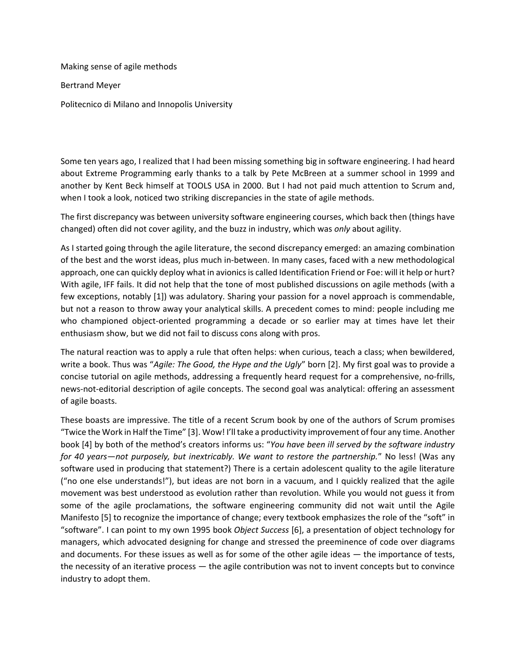Making sense of agile methods

Bertrand Meyer

Politecnico di Milano and Innopolis University

Some ten years ago, I realized that I had been missing something big in software engineering. I had heard about Extreme Programming early thanks to a talk by Pete McBreen at a summer school in 1999 and another by Kent Beck himself at TOOLS USA in 2000. But I had not paid much attention to Scrum and, when I took a look, noticed two striking discrepancies in the state of agile methods.

The first discrepancy was between university software engineering courses, which back then (things have changed) often did not cover agility, and the buzz in industry, which was *only* about agility.

As I started going through the agile literature, the second discrepancy emerged: an amazing combination of the best and the worst ideas, plus much in-between. In many cases, faced with a new methodological approach, one can quickly deploy what in avionics is called Identification Friend or Foe: will it help or hurt? With agile, IFF fails. It did not help that the tone of most published discussions on agile methods (with a few exceptions, notably [\[1\]](#page-3-0)) was adulatory. Sharing your passion for a novel approach is commendable, but not a reason to throw away your analytical skills. A precedent comes to mind: people including me who championed object-oriented programming a decade or so earlier may at times have let their enthusiasm show, but we did not fail to discuss cons along with pros.

The natural reaction was to apply a rule that often helps: when curious, teach a class; when bewildered, write a book. Thus was "*Agile: The Good, the Hype and the Ugly*" born [2]. My first goal was to provide a concise tutorial on agile methods, addressing a frequently heard request for a comprehensive, no-frills, news-not-editorial description of agile concepts. The second goal was analytical: offering an assessment of agile boasts.

These boasts are impressive. The title of a recent Scrum book by one of the authors of Scrum promises "Twice the Work in Half the Time" [[3\]](#page-3-1). Wow! I'll take a productivity improvement of four any time. Another book [\[4](#page-3-2)] by both of the method's creators informs us: "*You have been ill served by the software industry for 40 years—not purposely, but inextricably. We want to restore the partnership.*" No less! (Was any software used in producing that statement?) There is a certain adolescent quality to the agile literature ("no one else understands!"), but ideas are not born in a vacuum, and I quickly realized that the agile movement was best understood as evolution rather than revolution. While you would not guess it from some of the agile proclamations, the software engineering community did not wait until the Agile Manifesto [\[5\]](#page-3-3) to recognize the importance of change; every textbook emphasizes the role of the "soft" in "software". I can point to my own 1995 book *Object Success* [\[6\]](#page-3-4), a presentation of object technology for managers, which advocated designing for change and stressed the preeminence of code over diagrams and documents. For these issues as well as for some of the other agile ideas ― the importance of tests, the necessity of an iterative process — the agile contribution was not to invent concepts but to convince industry to adopt them.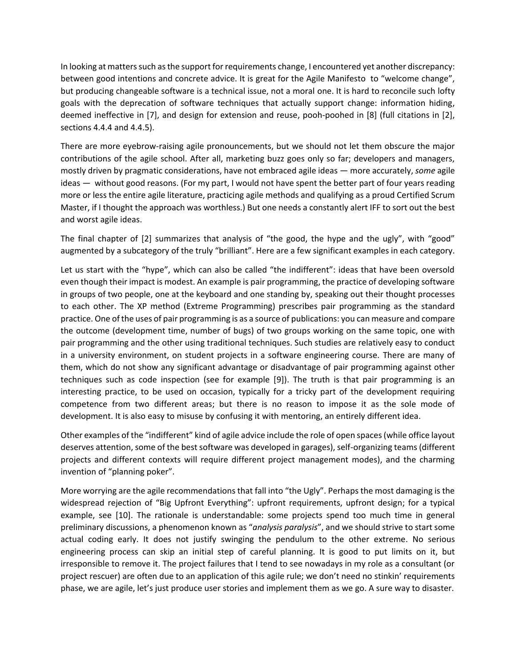In looking at matterssuch as the support for requirements change, I encountered yet another discrepancy: between good intentions and concrete advice. It is great for the Agile Manifesto to "welcome change", but producing changeable software is a technical issue, not a moral one. It is hard to reconcile such lofty goals with the deprecation of software techniques that actually support change: information hiding, deemed ineffective in [\[7\]](#page-3-5), and design for extension and reuse, pooh-poohed in [\[8\]](#page-4-0) (full citations in [\[2\]](#page-3-6), sections 4.4.4 and 4.4.5).

There are more eyebrow-raising agile pronouncements, but we should not let them obscure the major contributions of the agile school. After all, marketing buzz goes only so far; developers and managers, mostly driven by pragmatic considerations, have not embraced agile ideas ― more accurately, *some* agile ideas ― without good reasons. (For my part, I would not have spent the better part of four years reading more or less the entire agile literature, practicing agile methods and qualifying as a proud Certified Scrum Master, if I thought the approach was worthless.) But one needs a constantly alert IFF to sort out the best and worst agile ideas.

The final chapter of [\[2](#page-3-6)] summarizes that analysis of "the good, the hype and the ugly", with "good" augmented by a subcategory of the truly "brilliant". Here are a few significant examples in each category.

Let us start with the "hype", which can also be called "the indifferent": ideas that have been oversold even though their impact is modest. An example is pair programming, the practice of developing software in groups of two people, one at the keyboard and one standing by, speaking out their thought processes to each other. The XP method (Extreme Programming) prescribes pair programming as the standard practice. One of the uses of pair programming is as a source of publications: you can measure and compare the outcome (development time, number of bugs) of two groups working on the same topic, one with pair programming and the other using traditional techniques. Such studies are relatively easy to conduct in a university environment, on student projects in a software engineering course. There are many of them, which do not show any significant advantage or disadvantage of pair programming against other techniques such as code inspection (see for example [\[9\]](#page-4-1)). The truth is that pair programming is an interesting practice, to be used on occasion, typically for a tricky part of the development requiring competence from two different areas; but there is no reason to impose it as the sole mode of development. It is also easy to misuse by confusing it with mentoring, an entirely different idea.

Other examples of the "indifferent" kind of agile advice include the role of open spaces (while office layout deserves attention, some of the best software was developed in garages), self-organizing teams (different projects and different contexts will require different project management modes), and the charming invention of "planning poker".

More worrying are the agile recommendations that fall into "the Ugly". Perhaps the most damaging is the widespread rejection of "Big Upfront Everything": upfront requirements, upfront design; for a typical example, see [\[10\]](#page-4-2). The rationale is understandable: some projects spend too much time in general preliminary discussions, a phenomenon known as "*analysis paralysis*", and we should strive to start some actual coding early. It does not justify swinging the pendulum to the other extreme. No serious engineering process can skip an initial step of careful planning. It is good to put limits on it, but irresponsible to remove it. The project failures that I tend to see nowadays in my role as a consultant (or project rescuer) are often due to an application of this agile rule; we don't need no stinkin' requirements phase, we are agile, let's just produce user stories and implement them as we go. A sure way to disaster.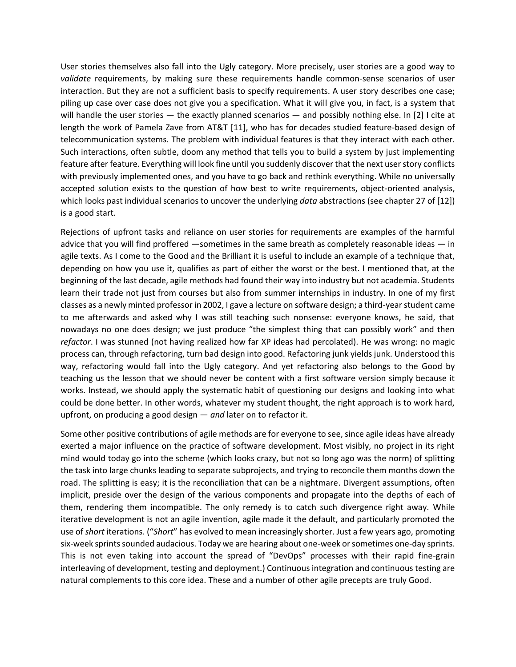User stories themselves also fall into the Ugly category. More precisely, user stories are a good way to *validate* requirements, by making sure these requirements handle common-sense scenarios of user interaction. But they are not a sufficient basis to specify requirements. A user story describes one case; piling up case over case does not give you a specification. What it will give you, in fact, is a system that will handle the user stories — the exactly planned scenarios — and possibly nothing else. In [\[2\]](#page-3-6) I cite at length the work of Pamela Zave from AT&T [\[11\]](#page-4-3), who has for decades studied feature-based design of telecommunication systems. The problem with individual features is that they interact with each other. Such interactions, often subtle, doom any method that tells you to build a system by just implementing feature after feature. Everything will look fine until you suddenly discover that the next user story conflicts with previously implemented ones, and you have to go back and rethink everything. While no universally accepted solution exists to the question of how best to write requirements, object-oriented analysis, which looks past individual scenarios to uncover the underlying *data* abstractions (see chapter 27 of [\[12\]](#page-4-4)) is a good start.

Rejections of upfront tasks and reliance on user stories for requirements are examples of the harmful advice that you will find proffered ―sometimes in the same breath as completely reasonable ideas ― in agile texts. As I come to the Good and the Brilliant it is useful to include an example of a technique that, depending on how you use it, qualifies as part of either the worst or the best. I mentioned that, at the beginning of the last decade, agile methods had found their way into industry but not academia. Students learn their trade not just from courses but also from summer internships in industry. In one of my first classes as a newly minted professor in 2002, I gave a lecture on software design; a third-year student came to me afterwards and asked why I was still teaching such nonsense: everyone knows, he said, that nowadays no one does design; we just produce "the simplest thing that can possibly work" and then *refactor*. I was stunned (not having realized how far XP ideas had percolated). He was wrong: no magic process can, through refactoring, turn bad design into good. Refactoring junk yields junk. Understood this way, refactoring would fall into the Ugly category. And yet refactoring also belongs to the Good by teaching us the lesson that we should never be content with a first software version simply because it works. Instead, we should apply the systematic habit of questioning our designs and looking into what could be done better. In other words, whatever my student thought, the right approach is to work hard, upfront, on producing a good design ― *and* later on to refactor it.

Some other positive contributions of agile methods are for everyone to see, since agile ideas have already exerted a major influence on the practice of software development. Most visibly, no project in its right mind would today go into the scheme (which looks crazy, but not so long ago was the norm) of splitting the task into large chunks leading to separate subprojects, and trying to reconcile them months down the road. The splitting is easy; it is the reconciliation that can be a nightmare. Divergent assumptions, often implicit, preside over the design of the various components and propagate into the depths of each of them, rendering them incompatible. The only remedy is to catch such divergence right away. While iterative development is not an agile invention, agile made it the default, and particularly promoted the use of *short* iterations. ("*Short*" has evolved to mean increasingly shorter. Just a few years ago, promoting six-week sprints sounded audacious. Today we are hearing about one-week or sometimes one-day sprints. This is not even taking into account the spread of "DevOps" processes with their rapid fine-grain interleaving of development, testing and deployment.) Continuous integration and continuous testing are natural complements to this core idea. These and a number of other agile precepts are truly Good.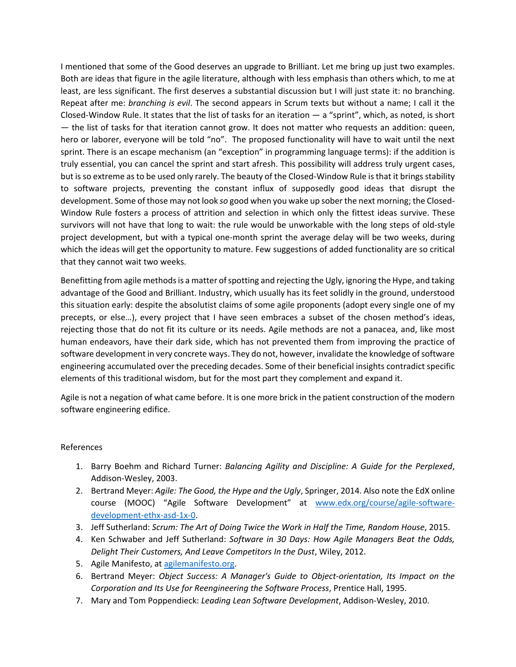I mentioned that some of the Good deserves an upgrade to Brilliant. Let me bring up just two examples. Both are ideas that figure in the agile literature, although with less emphasis than others which, to me at least, are less significant. The first deserves a substantial discussion but I will just state it: no branching. Repeat after me: *branching is evil*. The second appears in Scrum texts but without a name; I call it the Closed-Window Rule. It states that the list of tasks for an iteration ― a "sprint", which, as noted, is short ― the list of tasks for that iteration cannot grow. It does not matter who requests an addition: queen, hero or laborer, everyone will be told "no". The proposed functionality will have to wait until the next sprint. There is an escape mechanism (an "exception" in programming language terms): if the addition is truly essential, you can cancel the sprint and start afresh. This possibility will address truly urgent cases, but is so extreme as to be used only rarely. The beauty of the Closed-Window Rule is that it brings stability to software projects, preventing the constant influx of supposedly good ideas that disrupt the development. Some of those may not look *so* good when you wake up sober the next morning; the Closed-Window Rule fosters a process of attrition and selection in which only the fittest ideas survive. These survivors will not have that long to wait: the rule would be unworkable with the long steps of old-style project development, but with a typical one-month sprint the average delay will be two weeks, during which the ideas will get the opportunity to mature. Few suggestions of added functionality are so critical that they cannot wait two weeks.

Benefitting from agile methods is a matter of spotting and rejecting the Ugly, ignoring the Hype, and taking advantage of the Good and Brilliant. Industry, which usually has its feet solidly in the ground, understood this situation early: despite the absolutist claims of some agile proponents (adopt every single one of my precepts, or else…), every project that I have seen embraces a subset of the chosen method's ideas, rejecting those that do not fit its culture or its needs. Agile methods are not a panacea, and, like most human endeavors, have their dark side, which has not prevented them from improving the practice of software development in very concrete ways. They do not, however, invalidate the knowledge of software engineering accumulated over the preceding decades. Some of their beneficial insights contradict specific elements of this traditional wisdom, but for the most part they complement and expand it.

Agile is not a negation of what came before. It is one more brick in the patient construction of the modern software engineering edifice.

## References

- <span id="page-3-0"></span>1. Barry Boehm and Richard Turner: *Balancing Agility and Discipline: A Guide for the Perplexed*, Addison-Wesley, 2003.
- <span id="page-3-6"></span>2. Bertrand Meyer: *Agile: The Good, the Hype and the Ugly*, Springer, 2014. Also note the EdX online course (MOOC) "Agile Software Development" at [www.edx.org/course/agile-software](http://www.edx.org/course/agile-software-development-ethx-asd-1x-0)[development-ethx-asd-1x-0.](http://www.edx.org/course/agile-software-development-ethx-asd-1x-0)
- <span id="page-3-1"></span>3. Jeff Sutherland: *Scrum: The Art of Doing Twice the Work in Half the Time, Random House*, 2015.
- <span id="page-3-2"></span>4. Ken Schwaber and Jeff Sutherland: *Software in 30 Days: How Agile Managers Beat the Odds, Delight Their Customers, And Leave Competitors In the Dust*, Wiley, 2012.
- <span id="page-3-3"></span>5. Agile Manifesto, at [agilemanifesto.org.](http://agilemanifesto.org/)
- <span id="page-3-4"></span>6. Bertrand Meyer: *Object Success: A Manager's Guide to Object-orientation, Its Impact on the Corporation and Its Use for Reengineering the Software Process*, Prentice Hall, 1995.
- <span id="page-3-5"></span>7. Mary and Tom Poppendieck: *Leading Lean Software Development*, Addison-Wesley, 2010.